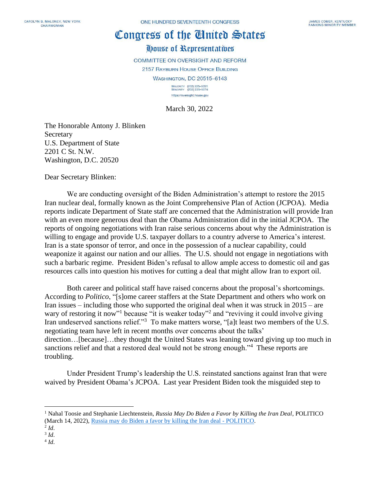## Congress of the Cinited States

## House of Representatives

COMMITTEE ON OVERSIGHT AND REFORM

2157 RAYBURN HOUSE OFFICE BUILDING **WASHINGTON, DC 20515-6143** 

MAJORITY (202) 225-5051<br>MINORITY (202) 225-5074 https://oversight.house.gov

March 30, 2022

The Honorable Antony J. Blinken Secretary U.S. Department of State 2201 C St. N.W. Washington, D.C. 20520

Dear Secretary Blinken:

We are conducting oversight of the Biden Administration's attempt to restore the 2015 Iran nuclear deal, formally known as the Joint Comprehensive Plan of Action (JCPOA). Media reports indicate Department of State staff are concerned that the Administration will provide Iran with an even more generous deal than the Obama Administration did in the initial JCPOA. The reports of ongoing negotiations with Iran raise serious concerns about why the Administration is willing to engage and provide U.S. taxpayer dollars to a country adverse to America's interest. Iran is a state sponsor of terror, and once in the possession of a nuclear capability, could weaponize it against our nation and our allies. The U.S. should not engage in negotiations with such a barbaric regime. President Biden's refusal to allow ample access to domestic oil and gas resources calls into question his motives for cutting a deal that might allow Iran to export oil.

Both career and political staff have raised concerns about the proposal's shortcomings. According to *Politico*, "[s]ome career staffers at the State Department and others who work on Iran issues – including those who supported the original deal when it was struck in 2015 – are wary of restoring it now"<sup>1</sup> because "it is weaker today"<sup>2</sup> and "reviving it could involve giving Iran undeserved sanctions relief."<sup>3</sup> To make matters worse, "[a]t least two members of the U.S. negotiating team have left in recent months over concerns about the talks' direction…[because]…they thought the United States was leaning toward giving up too much in sanctions relief and that a restored deal would not be strong enough."<sup>4</sup> These reports are troubling.

Under President Trump's leadership the U.S. reinstated sanctions against Iran that were waived by President Obama's JCPOA. Last year President Biden took the misguided step to

4 *Id*.

<sup>1</sup> Nahal Toosie and Stephanie Liechtenstein, *Russia May Do Biden a Favor by Killing the Iran Deal*, POLITICO (March 14, 2022), [Russia may do Biden a favor by killing the Iran deal -](https://www.politico.com/news/2022/03/14/russia-biden-killing-iran-deal-00017113) POLITICO.

<sup>2</sup> *Id*.

<sup>3</sup> *Id*.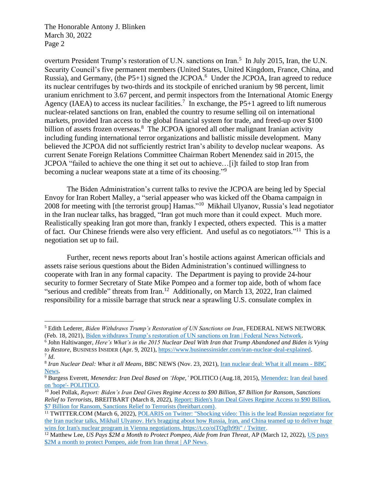overturn President Trump's restoration of U.N. sanctions on Iran.<sup>5</sup> In July 2015, Iran, the U.N. Security Council's five permanent members (United States, United Kingdom, France, China, and Russia), and Germany, (the P5+1) signed the JCPOA.<sup>6</sup> Under the JCPOA, Iran agreed to reduce its nuclear centrifuges by two-thirds and its stockpile of enriched uranium by 98 percent, limit uranium enrichment to 3.67 percent, and permit inspectors from the International Atomic Energy Agency (IAEA) to access its nuclear facilities.<sup>7</sup> In exchange, the P5+1 agreed to lift numerous nuclear-related sanctions on Iran, enabled the country to resume selling oil on international markets, provided Iran access to the global financial system for trade, and freed-up over \$100 billion of assets frozen overseas.<sup>8</sup> The JCPOA ignored all other malignant Iranian activity including funding international terror organizations and ballistic missile development. Many believed the JCPOA did not sufficiently restrict Iran's ability to develop nuclear weapons. As current Senate Foreign Relations Committee Chairman Robert Menendez said in 2015, the JCPOA "failed to achieve the one thing it set out to achieve…[i]t failed to stop Iran from becoming a nuclear weapons state at a time of its choosing."<sup>9</sup>

The Biden Administration's current talks to revive the JCPOA are being led by Special Envoy for Iran Robert Malley, a "serial appeaser who was kicked off the Obama campaign in 2008 for meeting with [the terrorist group] Hamas."<sup>10</sup> Mikhail Ulyanov, Russia's lead negotiator in the Iran nuclear talks, has bragged, "Iran got much more than it could expect. Much more. Realistically speaking Iran got more than, frankly I expected, others expected. This is a matter of fact. Our Chinese friends were also very efficient. And useful as co negotiators."<sup>11</sup> This is a negotiation set up to fail.

Further, recent news reports about Iran's hostile actions against American officials and assets raise serious questions about the Biden Administration's continued willingness to cooperate with Iran in any formal capacity. The Department is paying to provide 24-hour security to former Secretary of State Mike Pompeo and a former top aide, both of whom face "serious and credible" threats from Iran.<sup>12</sup> Additionally, on March 13, 2022, Iran claimed responsibility for a missile barrage that struck near a sprawling U.S. consulate complex in

<sup>5</sup> Edith Lederer, *Biden Withdraws Trump's Restoration of UN Sanctions on Iran*, FEDERAL NEWS NETWORK (Feb. 18, 2021), [Biden withdraws Trump's restoration of UN sanctions on Iran | Federal News Network.](https://federalnewsnetwork.com/world-news/2021/02/biden-withdraws-trumps-restoration-of-un-sanctions-on-iran/)

<sup>6</sup> John Haltiwanger, *Here's What's in the 2015 Nuclear Deal With Iran that Trump Abandoned and Biden is Vying to Restore,* BUSINESS INSIDER (Apr. 9, 2021), [https://www.businessinsider.com/iran-nuclear-deal-explained.](https://www.businessinsider.com/iran-nuclear-deal-explained) 7 *Id*.

<sup>8</sup> *Iran Nuclear Deal: What it all Means*, BBC NEWS (Nov. 23, 2021), [Iran nuclear deal: What it all means -](https://www.bbc.com/news/world-middle-east-33521655) BBC [News.](https://www.bbc.com/news/world-middle-east-33521655)

<sup>9</sup> Burgess Everett, *Menendez: Iran Deal Based on 'Hope,'* POLITICO (Aug.18, 2015)[, Menendez: Iran deal based](https://www.politico.com/story/2015/08/bob-menendez-to-oppose-iran-deal-121489)  on 'hope'- [POLITICO.](https://www.politico.com/story/2015/08/bob-menendez-to-oppose-iran-deal-121489)

<sup>10</sup> Joel Pollak, *Report: Biden's Iran Deal Gives Regime Access to \$90 Billion, \$7 Billion for Ransom, Sanctions Relief to Terrorists*, BREITBART (March 8, 2022), [Report: Biden's Iran Deal Gives Regime Access to \\$90 Billion,](https://www.breitbart.com/politics/2022/03/08/report-bidens-iran-deal-gives-regime-access-to-90-billion-7-billion-for-ransom-sanctions-relief-to-terrorists/)  [\\$7 Billion for Ransom, Sanctions Relief to Terrorists \(breitbart.com\).](https://www.breitbart.com/politics/2022/03/08/report-bidens-iran-deal-gives-regime-access-to-90-billion-7-billion-for-ransom-sanctions-relief-to-terrorists/)

<sup>&</sup>lt;sup>11</sup> TWITTER.COM (March 6, 2022), <u>POLARIS on Twitter: "Shocking video: This is the lead Russian negotiator for</u> [the Iran nuclear talks, Mikhail Ulyanov. He's bragging about how Russia, Iran, and China teamed up to deliver huge](https://twitter.com/polarisnatsec/status/1500466439018491905?ref_src=twsrc%5Etfw%7Ctwcamp%5Etweetembed%7Ctwterm%5E1500466439018491905%7Ctwgr%5E%7Ctwcon%5Es1_&ref_url=https%3A%2F%2Fwww.thegatewaypundit.com%2F2022%2F03%2Fshock-video-lead-russian-negotiator-caught-tape-bragging-iran-russia-china-teamed-screw-us-deliver-huge-wins-iranian-nuclear-program%2F)  [wins for Iran's nuclear program in Vienna negotiations. https://t.co/oiTOgfh99i" / Twitter.](https://twitter.com/polarisnatsec/status/1500466439018491905?ref_src=twsrc%5Etfw%7Ctwcamp%5Etweetembed%7Ctwterm%5E1500466439018491905%7Ctwgr%5E%7Ctwcon%5Es1_&ref_url=https%3A%2F%2Fwww.thegatewaypundit.com%2F2022%2F03%2Fshock-video-lead-russian-negotiator-caught-tape-bragging-iran-russia-china-teamed-screw-us-deliver-huge-wins-iranian-nuclear-program%2F)

<sup>12</sup> Matthew Lee, *US Pays \$2M a Month to Protect Pompeo, Aide from Iran Threat*, AP (March 12, 2022), [US pays](https://apnews.com/article/biden-mike-pompeo-iran-middle-east-795eb3faae6dc4803faafa3ee6615f4a)  [\\$2M a month to protect Pompeo, aide from Iran threat | AP News.](https://apnews.com/article/biden-mike-pompeo-iran-middle-east-795eb3faae6dc4803faafa3ee6615f4a)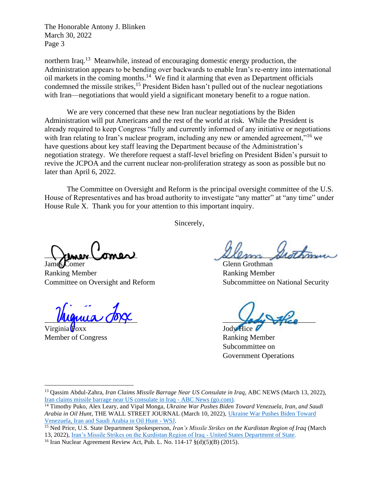northern Iraq.<sup>13</sup> Meanwhile, instead of encouraging domestic energy production, the Administration appears to be bending over backwards to enable Iran's re-entry into international oil markets in the coming months.<sup>14</sup> We find it alarming that even as Department officials condemned the missile strikes,<sup>15</sup> President Biden hasn't pulled out of the nuclear negotiations with Iran—negotiations that would yield a significant monetary benefit to a rogue nation.

We are very concerned that these new Iran nuclear negotiations by the Biden Administration will put Americans and the rest of the world at risk. While the President is already required to keep Congress "fully and currently informed of any initiative or negotiations with Iran relating to Iran's nuclear program, including any new or amended agreement,"<sup>16</sup> we have questions about key staff leaving the Department because of the Administration's negotiation strategy. We therefore request a staff-level briefing on President Biden's pursuit to revive the JCPOA and the current nuclear non-proliferation strategy as soon as possible but no later than April 6, 2022.

The Committee on Oversight and Reform is the principal oversight committee of the U.S. House of Representatives and has broad authority to investigate "any matter" at "any time" under House Rule X. Thank you for your attention to this important inquiry.

Sincerely,

James Comer Glenn Grothman

Ranking Member Ranking Member Committee on Oversight and Reform Subcommittee on National Security

Virginia Foxx Jody Hice Member of Congress Ranking Member

**Llemen omer allem shothin** 

 $M$ unica  $\overline{O}$ 

Subcommittee on Government Operations

<sup>13</sup> Qassim Abdul-Zahra, *Iran Claims Missile Barrage Near US Consulate in Iraq*, ABC NEWS (March 13, 2022), [Iran claims missile barrage near US consulate in Iraq -](https://abcnews.go.com/International/wireStory/missiles-target-us-consulate-north-iraq-casualties-83412862) ABC News (go.com).

<sup>14</sup> Timothy Puko, Alex Leary, and Vipal Monga*, Ukraine War Pushes Biden Toward Venezuela, Iran, and Saudi Arabia in Oil Hunt*, THE WALL STREET JOURNAL (March 10, 2022), [Ukraine War Pushes Biden Toward](https://www.wsj.com/articles/ukraine-war-drives-u-s-hunt-for-more-oil-to-help-tame-rising-prices-11646935216)  [Venezuela, Iran and Saudi Arabia in Oil Hunt -](https://www.wsj.com/articles/ukraine-war-drives-u-s-hunt-for-more-oil-to-help-tame-rising-prices-11646935216) WSJ.

<sup>15</sup> Ned Price, U.S. State Department Spokesperson, *Iran's Missile Strikes on the Kurdistan Region of Iraq* (March 13, 2022), [Iran's Missile Strikes on the Kurdistan Region of Iraq -](https://www.state.gov/irans-missile-strikes-on-the-kurdistan-region-of-iraq/) United States Department of State.

<sup>&</sup>lt;sup>16</sup> Iran Nuclear Agreement Review Act, Pub. L. No. 114-17  $\S(d)(5)(B)$  (2015).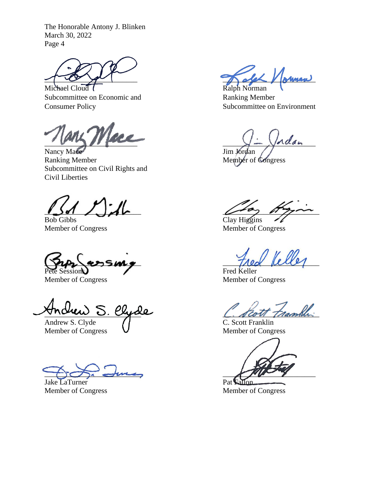Michael Cloud I Ralph Norman Subcommittee on Economic and Ranking Member Consumer Policy Subcommittee on Environment

 $\frac{1}{\sqrt{2}}$ 

Nancy Mace Jim Jordan<br>
Ranking Member<br>
Member of Subcommittee on Civil Rights and Civil Liberties

Bob Gibbs Clay Higgins

 $\tau_{\text{max}}$  assume  $\tau_{\text{max}}$ 

Pete Sessions Fred Keller<br>Member of Congress Fred Keller<br>Member of 0

Andrew S. Clyde C. Scott Frambly

Andrew S. Clyde C. Scott Franklin<br>
Member of Congress C. Scott Franklin<br>
Member of Congress

 $\bigcup_{i\in I} \bigcirc_{i\in I} \bigcirc_{m\in I} \bigcirc_{m\in I} \bigcirc_{m\in I} \bigcirc_{m\in I} \bigcirc_{m\in I} \bigcirc_{m\in I} \bigcirc_{m\in I} \bigcirc_{m\in I} \bigcirc_{m\in I} \bigcirc_{m\in I} \bigcirc_{m\in I} \bigcirc_{m\in I} \bigcirc_{m\in I} \bigcirc_{m\in I} \bigcirc_{m\in I} \bigcirc_{m\in I} \bigcirc_{m\in I} \bigcirc_{m\in I} \bigcirc_{m\in I} \bigcirc_{m\in I} \bigcirc_{m\in I} \bigcirc_{m\in I} \bigcirc_{$ 

Jake LaTurner Pat

 $\angle$  /  $\sqrt{N_{\text{MMAW}}}$ 

Member of Congress

\_\_\_\_\_\_\_\_\_\_\_\_\_\_\_\_\_\_\_\_\_\_\_\_\_\_ \_\_\_\_\_\_\_\_\_\_\_\_\_\_\_\_\_\_\_\_\_\_\_\_\_\_

Member of Congress Member of Congress

Member of Congress

Member of Congress

Member of Congress Member of Congress